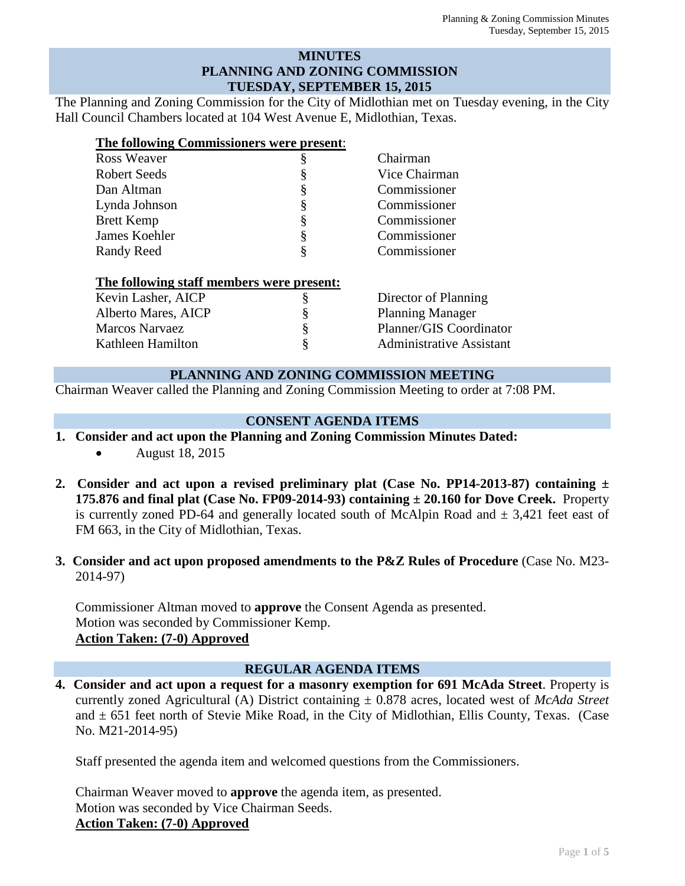## **MINUTES PLANNING AND ZONING COMMISSION TUESDAY, SEPTEMBER 15, 2015**

The Planning and Zoning Commission for the City of Midlothian met on Tuesday evening, in the City Hall Council Chambers located at 104 West Avenue E, Midlothian, Texas.

| The following Commissioners were present: |   |                                 |
|-------------------------------------------|---|---------------------------------|
| Ross Weaver                               |   | Chairman                        |
| <b>Robert Seeds</b>                       |   | Vice Chairman                   |
| Dan Altman                                |   | Commissioner                    |
| Lynda Johnson                             | § | Commissioner                    |
| <b>Brett Kemp</b>                         |   | Commissioner                    |
| James Koehler                             |   | Commissioner                    |
| <b>Randy Reed</b>                         | § | Commissioner                    |
| The following staff members were present: |   |                                 |
| Kevin Lasher, AICP                        | ş | Director of Planning            |
| Alberto Mares, AICP                       |   | <b>Planning Manager</b>         |
| <b>Marcos Narvaez</b>                     |   | Planner/GIS Coordinator         |
| Kathleen Hamilton                         |   | <b>Administrative Assistant</b> |

## **PLANNING AND ZONING COMMISSION MEETING**

Chairman Weaver called the Planning and Zoning Commission Meeting to order at 7:08 PM.

## **CONSENT AGENDA ITEMS**

**1. Consider and act upon the Planning and Zoning Commission Minutes Dated:** 

• **August 18, 2015** 

- **2. Consider and act upon a revised preliminary plat (Case No. PP14-2013-87) containing ± 175.876 and final plat (Case No. FP09-2014-93) containing**  $\pm 20.160$  **for Dove Creek.** Property is currently zoned PD-64 and generally located south of McAlpin Road and  $\pm$  3,421 feet east of FM 663, in the City of Midlothian, Texas.
- **3. Consider and act upon proposed amendments to the P&Z Rules of Procedure** (Case No. M23- 2014-97)

Commissioner Altman moved to **approve** the Consent Agenda as presented. Motion was seconded by Commissioner Kemp. **Action Taken: (7-0) Approved**

## **REGULAR AGENDA ITEMS**

**4. Consider and act upon a request for a masonry exemption for 691 McAda Street**. Property is currently zoned Agricultural (A) District containing ± 0.878 acres, located west of *McAda Street* and  $\pm$  651 feet north of Stevie Mike Road, in the City of Midlothian, Ellis County, Texas. (Case No. M21-2014-95)

Staff presented the agenda item and welcomed questions from the Commissioners.

Chairman Weaver moved to **approve** the agenda item, as presented. Motion was seconded by Vice Chairman Seeds. **Action Taken: (7-0) Approved**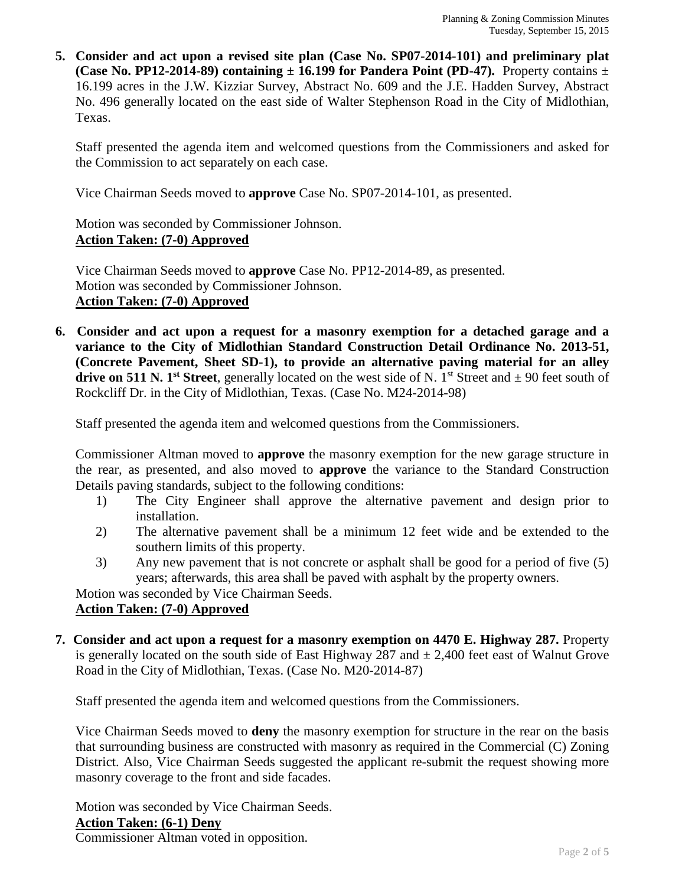**5. Consider and act upon a revised site plan (Case No. SP07-2014-101) and preliminary plat (Case No. PP12-2014-89) containing**  $\pm$  **16.199 for Pandera Point (PD-47).** Property contains  $\pm$ 16.199 acres in the J.W. Kizziar Survey, Abstract No. 609 and the J.E. Hadden Survey, Abstract No. 496 generally located on the east side of Walter Stephenson Road in the City of Midlothian, Texas.

Staff presented the agenda item and welcomed questions from the Commissioners and asked for the Commission to act separately on each case.

Vice Chairman Seeds moved to **approve** Case No. SP07-2014-101, as presented.

Motion was seconded by Commissioner Johnson. **Action Taken: (7-0) Approved**

Vice Chairman Seeds moved to **approve** Case No. PP12-2014-89, as presented. Motion was seconded by Commissioner Johnson. **Action Taken: (7-0) Approved**

**6. Consider and act upon a request for a masonry exemption for a detached garage and a variance to the City of Midlothian Standard Construction Detail Ordinance No. 2013-51, (Concrete Pavement, Sheet SD-1), to provide an alternative paving material for an alley drive on 511 N. 1st Street**, generally located on the west side of N. 1st Street and  $\pm$  90 feet south of Rockcliff Dr. in the City of Midlothian, Texas. (Case No. M24-2014-98)

Staff presented the agenda item and welcomed questions from the Commissioners.

Commissioner Altman moved to **approve** the masonry exemption for the new garage structure in the rear, as presented, and also moved to **approve** the variance to the Standard Construction Details paving standards, subject to the following conditions:

- 1) The City Engineer shall approve the alternative pavement and design prior to installation.
- 2) The alternative pavement shall be a minimum 12 feet wide and be extended to the southern limits of this property.
- 3) Any new pavement that is not concrete or asphalt shall be good for a period of five (5) years; afterwards, this area shall be paved with asphalt by the property owners.

Motion was seconded by Vice Chairman Seeds.

# **Action Taken: (7-0) Approved**

**7. Consider and act upon a request for a masonry exemption on 4470 E. Highway 287.** Property is generally located on the south side of East Highway 287 and *±* 2,400 feet east of Walnut Grove Road in the City of Midlothian, Texas. (Case No. M20-2014-87)

Staff presented the agenda item and welcomed questions from the Commissioners.

Vice Chairman Seeds moved to **deny** the masonry exemption for structure in the rear on the basis that surrounding business are constructed with masonry as required in the Commercial (C) Zoning District. Also, Vice Chairman Seeds suggested the applicant re-submit the request showing more masonry coverage to the front and side facades.

Motion was seconded by Vice Chairman Seeds. **Action Taken: (6-1) Deny**

Commissioner Altman voted in opposition.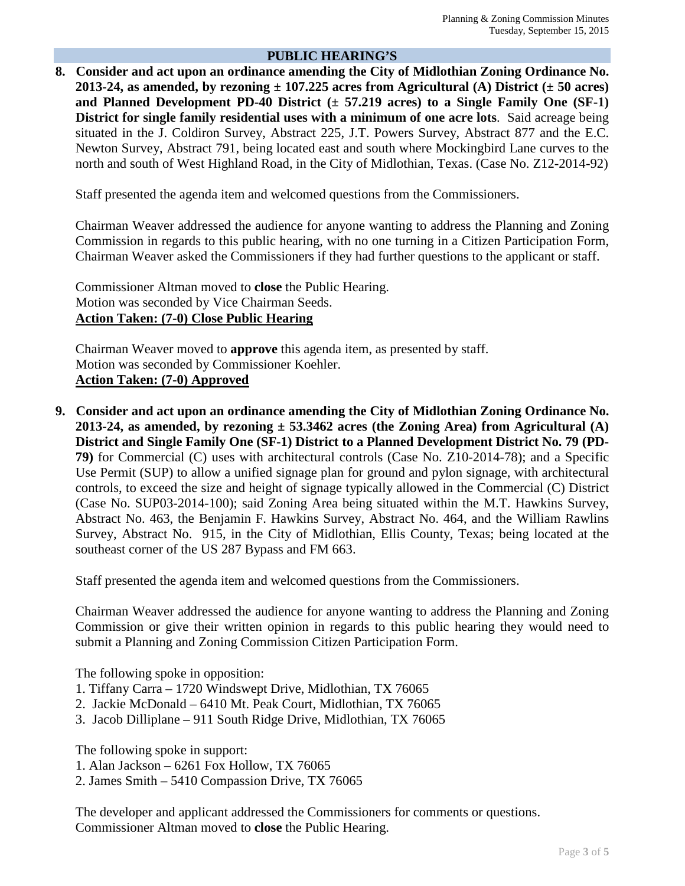## **PUBLIC HEARING'S**

**8. Consider and act upon an ordinance amending the City of Midlothian Zoning Ordinance No.**  2013-24, as amended, by rezoning  $\pm$  107.225 acres from Agricultural (A) District ( $\pm$  50 acres) **and Planned Development PD-40 District (± 57.219 acres) to a Single Family One (SF-1) District for single family residential uses with a minimum of one acre lots**. Said acreage being situated in the J. Coldiron Survey, Abstract 225, J.T. Powers Survey, Abstract 877 and the E.C. Newton Survey, Abstract 791, being located east and south where Mockingbird Lane curves to the north and south of West Highland Road, in the City of Midlothian, Texas. (Case No. Z12-2014-92)

Staff presented the agenda item and welcomed questions from the Commissioners.

Chairman Weaver addressed the audience for anyone wanting to address the Planning and Zoning Commission in regards to this public hearing, with no one turning in a Citizen Participation Form, Chairman Weaver asked the Commissioners if they had further questions to the applicant or staff.

Commissioner Altman moved to **close** the Public Hearing. Motion was seconded by Vice Chairman Seeds. **Action Taken: (7-0) Close Public Hearing**

Chairman Weaver moved to **approve** this agenda item, as presented by staff. Motion was seconded by Commissioner Koehler. **Action Taken: (7-0) Approved**

**9. Consider and act upon an ordinance amending the City of Midlothian Zoning Ordinance No. 2013-24, as amended, by rezoning ± 53.3462 acres (the Zoning Area) from Agricultural (A) District and Single Family One (SF-1) District to a Planned Development District No. 79 (PD-79)** for Commercial (C) uses with architectural controls (Case No. Z10-2014-78); and a Specific Use Permit (SUP) to allow a unified signage plan for ground and pylon signage, with architectural controls, to exceed the size and height of signage typically allowed in the Commercial (C) District (Case No. SUP03-2014-100); said Zoning Area being situated within the M.T. Hawkins Survey, Abstract No. 463, the Benjamin F. Hawkins Survey, Abstract No. 464, and the William Rawlins Survey, Abstract No. 915, in the City of Midlothian, Ellis County, Texas; being located at the southeast corner of the US 287 Bypass and FM 663.

Staff presented the agenda item and welcomed questions from the Commissioners.

Chairman Weaver addressed the audience for anyone wanting to address the Planning and Zoning Commission or give their written opinion in regards to this public hearing they would need to submit a Planning and Zoning Commission Citizen Participation Form.

The following spoke in opposition:

- 1. Tiffany Carra 1720 Windswept Drive, Midlothian, TX 76065
- 2. Jackie McDonald 6410 Mt. Peak Court, Midlothian, TX 76065
- 3. Jacob Dilliplane 911 South Ridge Drive, Midlothian, TX 76065

The following spoke in support:

- 1. Alan Jackson 6261 Fox Hollow, TX 76065
- 2. James Smith 5410 Compassion Drive, TX 76065

The developer and applicant addressed the Commissioners for comments or questions. Commissioner Altman moved to **close** the Public Hearing.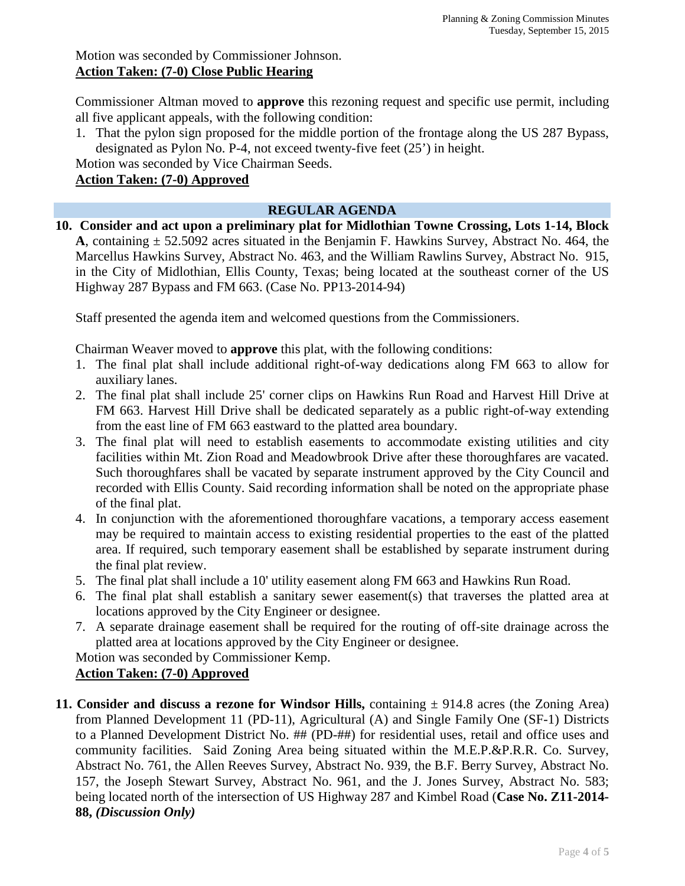Commissioner Altman moved to **approve** this rezoning request and specific use permit, including all five applicant appeals, with the following condition:

1. That the pylon sign proposed for the middle portion of the frontage along the US 287 Bypass, designated as Pylon No. P-4, not exceed twenty-five feet (25') in height.

Motion was seconded by Vice Chairman Seeds.

# **Action Taken: (7-0) Approved**

# **REGULAR AGENDA**

**10. Consider and act upon a preliminary plat for Midlothian Towne Crossing, Lots 1-14, Block A**, containing ± 52.5092 acres situated in the Benjamin F. Hawkins Survey, Abstract No. 464, the Marcellus Hawkins Survey, Abstract No. 463, and the William Rawlins Survey, Abstract No. 915, in the City of Midlothian, Ellis County, Texas; being located at the southeast corner of the US Highway 287 Bypass and FM 663. (Case No. PP13-2014-94)

Staff presented the agenda item and welcomed questions from the Commissioners.

Chairman Weaver moved to **approve** this plat, with the following conditions:

- 1. The final plat shall include additional right-of-way dedications along FM 663 to allow for auxiliary lanes.
- 2. The final plat shall include 25' corner clips on Hawkins Run Road and Harvest Hill Drive at FM 663. Harvest Hill Drive shall be dedicated separately as a public right-of-way extending from the east line of FM 663 eastward to the platted area boundary.
- 3. The final plat will need to establish easements to accommodate existing utilities and city facilities within Mt. Zion Road and Meadowbrook Drive after these thoroughfares are vacated. Such thoroughfares shall be vacated by separate instrument approved by the City Council and recorded with Ellis County. Said recording information shall be noted on the appropriate phase of the final plat.
- 4. In conjunction with the aforementioned thoroughfare vacations, a temporary access easement may be required to maintain access to existing residential properties to the east of the platted area. If required, such temporary easement shall be established by separate instrument during the final plat review.
- 5. The final plat shall include a 10' utility easement along FM 663 and Hawkins Run Road.
- 6. The final plat shall establish a sanitary sewer easement(s) that traverses the platted area at locations approved by the City Engineer or designee.
- 7. A separate drainage easement shall be required for the routing of off-site drainage across the platted area at locations approved by the City Engineer or designee.

Motion was seconded by Commissioner Kemp.

# **Action Taken: (7-0) Approved**

**11. Consider and discuss a rezone for Windsor Hills,** containing  $\pm$  914.8 acres (the Zoning Area) from Planned Development 11 (PD-11), Agricultural (A) and Single Family One (SF-1) Districts to a Planned Development District No. ## (PD-##) for residential uses, retail and office uses and community facilities. Said Zoning Area being situated within the M.E.P.&P.R.R. Co. Survey, Abstract No. 761, the Allen Reeves Survey, Abstract No. 939, the B.F. Berry Survey, Abstract No. 157, the Joseph Stewart Survey, Abstract No. 961, and the J. Jones Survey, Abstract No. 583; being located north of the intersection of US Highway 287 and Kimbel Road (**Case No. Z11-2014- 88,** *(Discussion Only)*